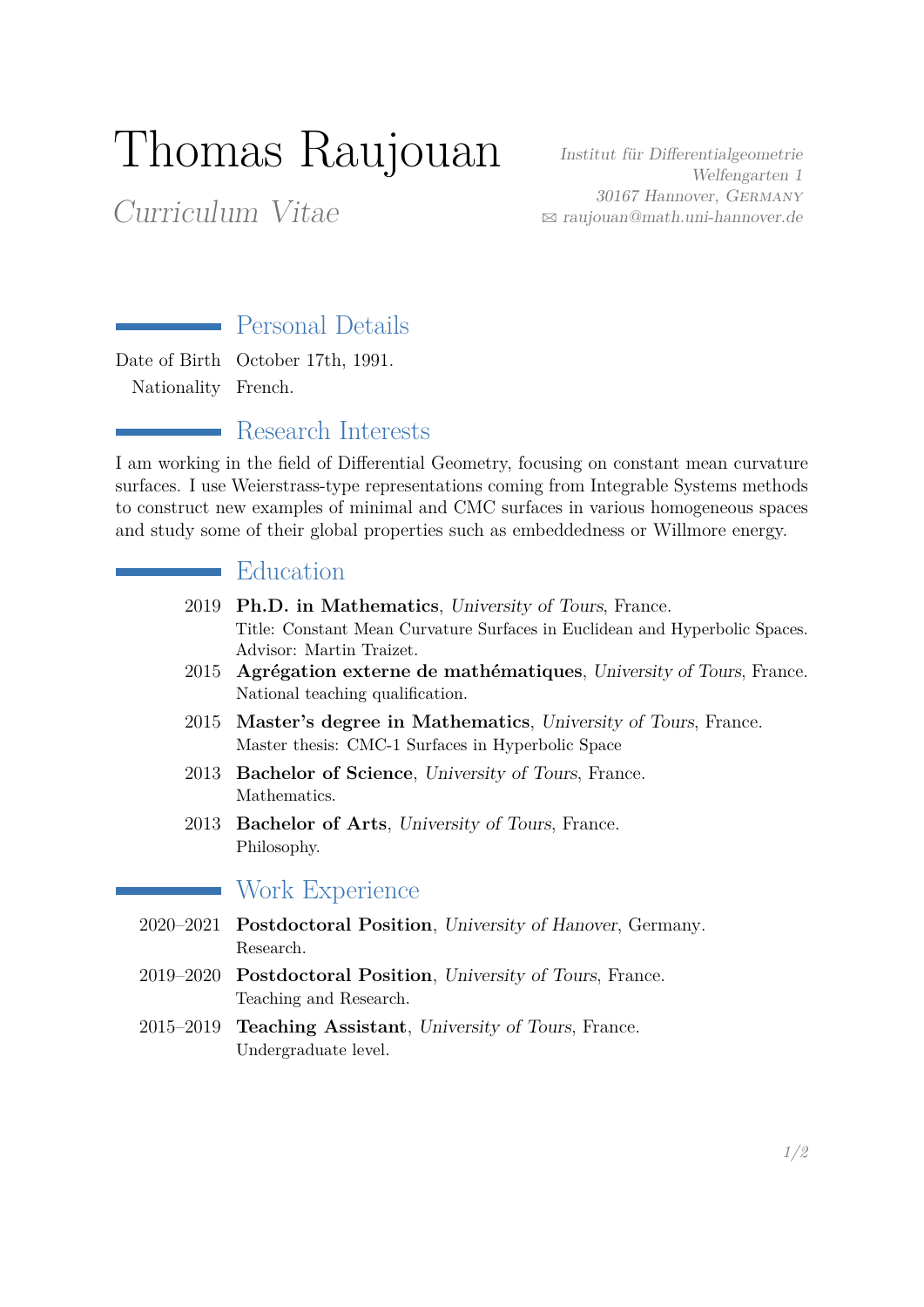# Thomas Raujouan

Curriculum Vitae

Institut für Differentialgeometrie Welfengarten 1 30167 Hannover, Germany B [raujouan@math.uni-hannover.de](mailto:raujouan@math.uni-hannover.de)

## Personal Details

Date of Birth October 17th, 1991. Nationality French.

#### Research Interests

I am working in the field of Differential Geometry, focusing on constant mean curvature surfaces. I use Weierstrass-type representations coming from Integrable Systems methods to construct new examples of minimal and CMC surfaces in various homogeneous spaces and study some of their global properties such as embeddedness or Willmore energy.

#### Education

- 2019 **Ph.D. in Mathematics**, University of Tours, France. Title: Constant Mean Curvature Surfaces in Euclidean and Hyperbolic Spaces. Advisor: Martin Traizet.
- 2015 **Agrégation externe de mathématiques**, University of Tours, France. National teaching qualification.
- 2015 **Master's degree in Mathematics**, University of Tours, France. Master thesis: CMC-1 Surfaces in Hyperbolic Space
- 2013 **Bachelor of Science**, University of Tours, France. Mathematics.
- 2013 **Bachelor of Arts**, University of Tours, France. Philosophy.

## Work Experience

 $\mathcal{L}(\mathcal{L})$ 

- 2020–2021 **Postdoctoral Position**, University of Hanover, Germany. Research.
- 2019–2020 **Postdoctoral Position**, University of Tours, France. Teaching and Research.
- 2015–2019 **Teaching Assistant**, University of Tours, France. Undergraduate level.